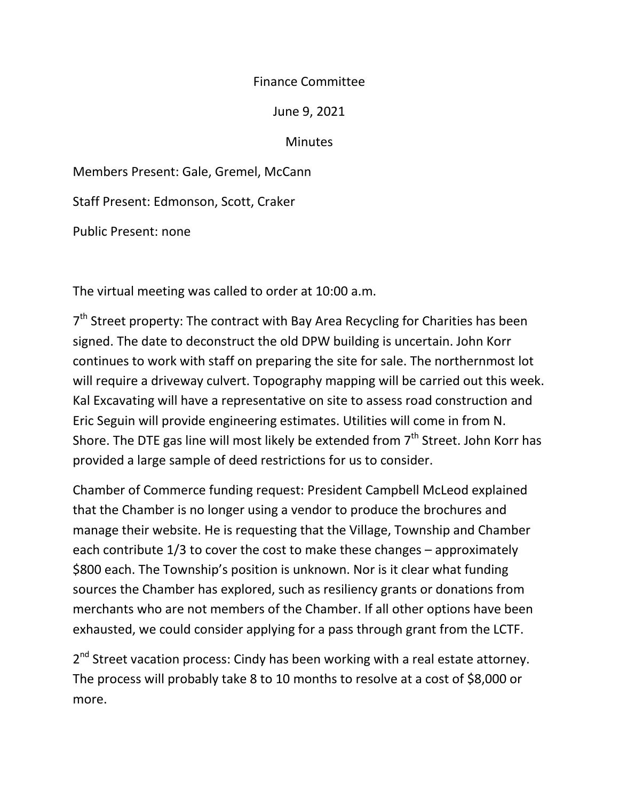## Finance Committee

June 9, 2021

## **Minutes**

Members Present: Gale, Gremel, McCann

Staff Present: Edmonson, Scott, Craker

Public Present: none

The virtual meeting was called to order at 10:00 a.m.

7<sup>th</sup> Street property: The contract with Bay Area Recycling for Charities has been signed. The date to deconstruct the old DPW building is uncertain. John Korr continues to work with staff on preparing the site for sale. The northernmost lot will require a driveway culvert. Topography mapping will be carried out this week. Kal Excavating will have a representative on site to assess road construction and Eric Seguin will provide engineering estimates. Utilities will come in from N. Shore. The DTE gas line will most likely be extended from  $7<sup>th</sup>$  Street. John Korr has provided a large sample of deed restrictions for us to consider.

Chamber of Commerce funding request: President Campbell McLeod explained that the Chamber is no longer using a vendor to produce the brochures and manage their website. He is requesting that the Village, Township and Chamber each contribute 1/3 to cover the cost to make these changes – approximately \$800 each. The Township's position is unknown. Nor is it clear what funding sources the Chamber has explored, such as resiliency grants or donations from merchants who are not members of the Chamber. If all other options have been exhausted, we could consider applying for a pass through grant from the LCTF.

2<sup>nd</sup> Street vacation process: Cindy has been working with a real estate attorney. The process will probably take 8 to 10 months to resolve at a cost of \$8,000 or more.